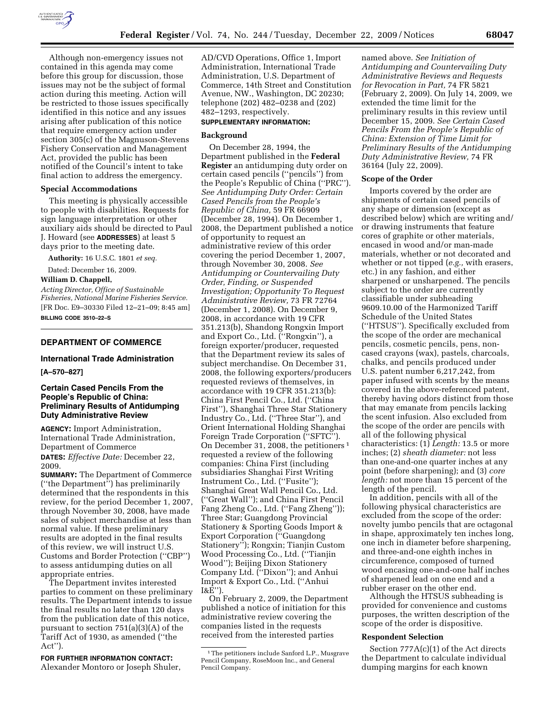

Although non-emergency issues not contained in this agenda may come before this group for discussion, those issues may not be the subject of formal action during this meeting. Action will be restricted to those issues specifically identified in this notice and any issues arising after publication of this notice that require emergency action under section 305(c) of the Magnuson-Stevens Fishery Conservation and Management Act, provided the public has been notified of the Council's intent to take final action to address the emergency.

## **Special Accommodations**

This meeting is physically accessible to people with disabilities. Requests for sign language interpretation or other auxiliary aids should be directed to Paul J. Howard (see **ADDRESSES**) at least 5 days prior to the meeting date.

**Authority:** 16 U.S.C. 1801 *et seq.* 

Dated: December 16, 2009.

**William D. Chappell,** 

*Acting Director, Office of Sustainable Fisheries, National Marine Fisheries Service.*  [FR Doc. E9–30330 Filed 12–21–09; 8:45 am] **BILLING CODE 3510–22–S** 

## **DEPARTMENT OF COMMERCE**

# **International Trade Administration**

## **[A–570–827]**

## **Certain Cased Pencils From the People's Republic of China: Preliminary Results of Antidumping Duty Administrative Review**

**AGENCY:** Import Administration, International Trade Administration, Department of Commerce **DATES:** *Effective Date:* December 22, 2009.

**SUMMARY:** The Department of Commerce (''the Department'') has preliminarily determined that the respondents in this review, for the period December 1, 2007, through November 30, 2008, have made sales of subject merchandise at less than normal value. If these preliminary results are adopted in the final results of this review, we will instruct U.S. Customs and Border Protection (''CBP'') to assess antidumping duties on all appropriate entries.

The Department invites interested parties to comment on these preliminary results. The Department intends to issue the final results no later than 120 days from the publication date of this notice, pursuant to section 751(a)(3)(A) of the Tariff Act of 1930, as amended (''the Act'').

**FOR FURTHER INFORMATION CONTACT:**  Alexander Montoro or Joseph Shuler,

AD/CVD Operations, Office 1, Import Administration, International Trade Administration, U.S. Department of Commerce, 14th Street and Constitution Avenue, NW., Washington, DC 20230; telephone (202) 482–0238 and (202) 482–1293, respectively.

# **SUPPLEMENTARY INFORMATION:**

### **Background**

On December 28, 1994, the Department published in the **Federal Register** an antidumping duty order on certain cased pencils (''pencils'') from the People's Republic of China (''PRC''). *See Antidumping Duty Order: Certain Cased Pencils from the People's Republic of China,* 59 FR 66909 (December 28, 1994). On December 1, 2008, the Department published a notice of opportunity to request an administrative review of this order covering the period December 1, 2007, through November 30, 2008. *See Antidumping or Countervailing Duty Order, Finding, or Suspended Investigation; Opportunity To Request Administrative Review,* 73 FR 72764 (December 1, 2008). On December 9, 2008, in accordance with 19 CFR 351.213(b), Shandong Rongxin Import and Export Co., Ltd. (''Rongxin''), a foreign exporter/producer, requested that the Department review its sales of subject merchandise. On December 31, 2008, the following exporters/producers requested reviews of themselves, in accordance with 19 CFR 351.213(b): China First Pencil Co., Ltd. (''China First''), Shanghai Three Star Stationery Industry Co., Ltd. (''Three Star''), and Orient International Holding Shanghai Foreign Trade Corporation (''SFTC''). On December 31, 2008, the petitioners 1 requested a review of the following companies: China First (including subsidiaries Shanghai First Writing Instrument Co., Ltd. (''Fusite''); Shanghai Great Wall Pencil Co., Ltd. (''Great Wall''); and China First Pencil Fang Zheng Co., Ltd. (''Fang Zheng'')); Three Star; Guangdong Provincial Stationery & Sporting Goods Import & Export Corporation (''Guangdong Stationery''); Rongxin; Tianjin Custom Wood Processing Co., Ltd. (''Tianjin Wood''); Beijing Dixon Stationery Company Ltd. (''Dixon''); and Anhui Import & Export Co., Ltd. (''Anhui I&E'').

On February 2, 2009, the Department published a notice of initiation for this administrative review covering the companies listed in the requests received from the interested parties

named above. *See Initiation of Antidumping and Countervailing Duty Administrative Reviews and Requests for Revocation in Part,* 74 FR 5821 (February 2, 2009). On July 14, 2009, we extended the time limit for the preliminary results in this review until December 15, 2009. *See Certain Cased Pencils From the People's Republic of China: Extension of Time Limit for Preliminary Results of the Antidumping Duty Administrative Review,* 74 FR 36164 (July 22, 2009).

## **Scope of the Order**

Imports covered by the order are shipments of certain cased pencils of any shape or dimension (except as described below) which are writing and/ or drawing instruments that feature cores of graphite or other materials, encased in wood and/or man-made materials, whether or not decorated and whether or not tipped (*e.g.,* with erasers, etc.) in any fashion, and either sharpened or unsharpened. The pencils subject to the order are currently classifiable under subheading 9609.10.00 of the Harmonized Tariff Schedule of the United States (''HTSUS''). Specifically excluded from the scope of the order are mechanical pencils, cosmetic pencils, pens, noncased crayons (wax), pastels, charcoals, chalks, and pencils produced under U.S. patent number 6,217,242, from paper infused with scents by the means covered in the above-referenced patent, thereby having odors distinct from those that may emanate from pencils lacking the scent infusion. Also excluded from the scope of the order are pencils with all of the following physical characteristics: (1) *Length:* 13.5 or more inches; (2) *sheath diameter:* not less than one-and-one quarter inches at any point (before sharpening); and (3) *core length:* not more than 15 percent of the length of the pencil.

In addition, pencils with all of the following physical characteristics are excluded from the scope of the order: novelty jumbo pencils that are octagonal in shape, approximately ten inches long, one inch in diameter before sharpening, and three-and-one eighth inches in circumference, composed of turned wood encasing one-and-one half inches of sharpened lead on one end and a rubber eraser on the other end.

Although the HTSUS subheading is provided for convenience and customs purposes, the written description of the scope of the order is dispositive.

## **Respondent Selection**

Section 777A(c)(1) of the Act directs the Department to calculate individual dumping margins for each known

<sup>&</sup>lt;sup>1</sup>The petitioners include Sanford L.P., Musgrave Pencil Company, RoseMoon Inc., and General Pencil Company.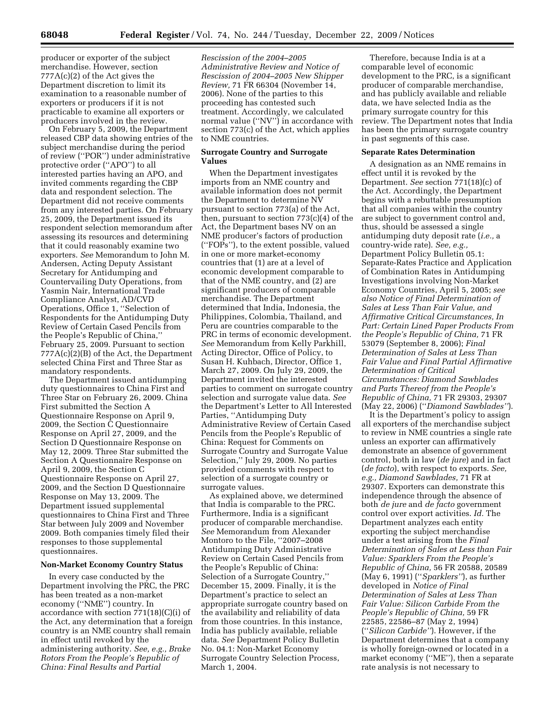producer or exporter of the subject merchandise. However, section 777A(c)(2) of the Act gives the Department discretion to limit its examination to a reasonable number of exporters or producers if it is not practicable to examine all exporters or producers involved in the review.

On February 5, 2009, the Department released CBP data showing entries of the subject merchandise during the period of review (''POR'') under administrative protective order (''APO'') to all interested parties having an APO, and invited comments regarding the CBP data and respondent selection. The Department did not receive comments from any interested parties. On February 25, 2009, the Department issued its respondent selection memorandum after assessing its resources and determining that it could reasonably examine two exporters. *See* Memorandum to John M. Andersen, Acting Deputy Assistant Secretary for Antidumping and Countervailing Duty Operations, from Yasmin Nair, International Trade Compliance Analyst, AD/CVD Operations, Office 1, ''Selection of Respondents for the Antidumping Duty Review of Certain Cased Pencils from the People's Republic of China,'' February 25, 2009. Pursuant to section 777A(c)(2)(B) of the Act, the Department selected China First and Three Star as mandatory respondents.

The Department issued antidumping duty questionnaires to China First and Three Star on February 26, 2009. China First submitted the Section A Questionnaire Response on April 9, 2009, the Section C Questionnaire Response on April 27, 2009, and the Section D Questionnaire Response on May 12, 2009. Three Star submitted the Section A Questionnaire Response on April 9, 2009, the Section C Questionnaire Response on April 27, 2009, and the Section D Questionnaire Response on May 13, 2009. The Department issued supplemental questionnaires to China First and Three Star between July 2009 and November 2009. Both companies timely filed their responses to those supplemental questionnaires.

### **Non-Market Economy Country Status**

In every case conducted by the Department involving the PRC, the PRC has been treated as a non-market economy (''NME'') country. In accordance with section 771(18)(C)(i) of the Act, any determination that a foreign country is an NME country shall remain in effect until revoked by the administering authority. *See, e.g., Brake Rotors From the People's Republic of China: Final Results and Partial* 

*Rescission of the 2004–2005 Administrative Review and Notice of Rescission of 2004–2005 New Shipper Review,* 71 FR 66304 (November 14, 2006). None of the parties to this proceeding has contested such treatment. Accordingly, we calculated normal value (''NV'') in accordance with section 773(c) of the Act, which applies to NME countries.

### **Surrogate Country and Surrogate Values**

When the Department investigates imports from an NME country and available information does not permit the Department to determine NV pursuant to section 773(a) of the Act, then, pursuant to section 773(c)(4) of the Act, the Department bases NV on an NME producer's factors of production (''FOPs''), to the extent possible, valued in one or more market-economy countries that (1) are at a level of economic development comparable to that of the NME country, and (2) are significant producers of comparable merchandise. The Department determined that India, Indonesia, the Philippines, Colombia, Thailand, and Peru are countries comparable to the PRC in terms of economic development. *See* Memorandum from Kelly Parkhill, Acting Director, Office of Policy, to Susan H. Kuhbach, Director, Office 1, March 27, 2009. On July 29, 2009, the Department invited the interested parties to comment on surrogate country selection and surrogate value data. *See*  the Department's Letter to All Interested Parties, ''Antidumping Duty Administrative Review of Certain Cased Pencils from the People's Republic of China: Request for Comments on Surrogate Country and Surrogate Value Selection,'' July 29, 2009. No parties provided comments with respect to selection of a surrogate country or surrogate values.

As explained above, we determined that India is comparable to the PRC. Furthermore, India is a significant producer of comparable merchandise. *See* Memorandum from Alexander Montoro to the File, ''2007–2008 Antidumping Duty Administrative Review on Certain Cased Pencils from the People's Republic of China: Selection of a Surrogate Country,'' December 15, 2009. Finally, it is the Department's practice to select an appropriate surrogate country based on the availability and reliability of data from those countries. In this instance, India has publicly available, reliable data. *See* Department Policy Bulletin No. 04.1: Non-Market Economy Surrogate Country Selection Process, March 1, 2004.

Therefore, because India is at a comparable level of economic development to the PRC, is a significant producer of comparable merchandise, and has publicly available and reliable data, we have selected India as the primary surrogate country for this review. The Department notes that India has been the primary surrogate country in past segments of this case.

#### **Separate Rates Determination**

A designation as an NME remains in effect until it is revoked by the Department. *See* section 771(18)(c) of the Act. Accordingly, the Department begins with a rebuttable presumption that all companies within the country are subject to government control and, thus, should be assessed a single antidumping duty deposit rate (*i.e.,* a country-wide rate). *See, e.g.,*  Department Policy Bulletin 05.1: Separate-Rates Practice and Application of Combination Rates in Antidumping Investigations involving Non-Market Economy Countries, April 5, 2005; *see also Notice of Final Determination of Sales at Less Than Fair Value, and Affirmative Critical Circumstances, In Part: Certain Lined Paper Products From the People's Republic of China,* 71 FR 53079 (September 8, 2006); *Final Determination of Sales at Less Than Fair Value and Final Partial Affirmative Determination of Critical Circumstances: Diamond Sawblades and Parts Thereof from the People's Republic of China,* 71 FR 29303, 29307 (May 22, 2006) (''*Diamond Sawblades''*).

It is the Department's policy to assign all exporters of the merchandise subject to review in NME countries a single rate unless an exporter can affirmatively demonstrate an absence of government control, both in law (*de jure*) and in fact (*de facto*), with respect to exports. *See, e.g., Diamond Sawblades,* 71 FR at 29307. Exporters can demonstrate this independence through the absence of both *de jure* and *de facto* government control over export activities. *Id.* The Department analyzes each entity exporting the subject merchandise under a test arising from the *Final Determination of Sales at Less than Fair Value: Sparklers From the People's Republic of China,* 56 FR 20588, 20589 (May 6, 1991) (''*Sparklers''*), as further developed in *Notice of Final Determination of Sales at Less Than Fair Value: Silicon Carbide From the People's Republic of China,* 59 FR 22585, 22586–87 (May 2, 1994) (''*Silicon Carbide''*). However, if the Department determines that a company is wholly foreign-owned or located in a market economy (''ME''), then a separate rate analysis is not necessary to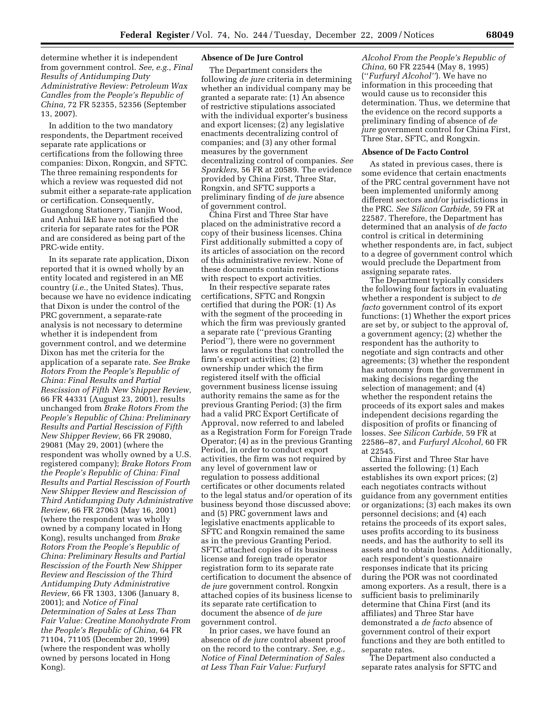determine whether it is independent from government control. *See, e.g., Final Results of Antidumping Duty Administrative Review: Petroleum Wax Candles from the People's Republic of China,* 72 FR 52355, 52356 (September 13, 2007).

In addition to the two mandatory respondents, the Department received separate rate applications or certifications from the following three companies: Dixon, Rongxin, and SFTC. The three remaining respondents for which a review was requested did not submit either a separate-rate application or certification. Consequently, Guangdong Stationery, Tianjin Wood, and Anhui I&E have not satisfied the criteria for separate rates for the POR and are considered as being part of the PRC-wide entity.

In its separate rate application, Dixon reported that it is owned wholly by an entity located and registered in an ME country (*i.e.,* the United States). Thus, because we have no evidence indicating that Dixon is under the control of the PRC government, a separate-rate analysis is not necessary to determine whether it is independent from government control, and we determine Dixon has met the criteria for the application of a separate rate. *See Brake Rotors From the People's Republic of China: Final Results and Partial Rescission of Fifth New Shipper Review,*  66 FR 44331 (August 23, 2001), results unchanged from *Brake Rotors From the People's Republic of China: Preliminary Results and Partial Rescission of Fifth New Shipper Review,* 66 FR 29080, 29081 (May 29, 2001) (where the respondent was wholly owned by a U.S. registered company); *Brake Rotors From the People's Republic of China: Final Results and Partial Rescission of Fourth New Shipper Review and Rescission of Third Antidumping Duty Administrative Review,* 66 FR 27063 (May 16, 2001) (where the respondent was wholly owned by a company located in Hong Kong), results unchanged from *Brake Rotors From the People's Republic of China: Preliminary Results and Partial Rescission of the Fourth New Shipper Review and Rescission of the Third Antidumping Duty Administrative Review,* 66 FR 1303, 1306 (January 8, 2001); and *Notice of Final Determination of Sales at Less Than Fair Value: Creatine Monohydrate From the People's Republic of China,* 64 FR 71104, 71105 (December 20, 1999) (where the respondent was wholly owned by persons located in Hong Kong).

## **Absence of De Jure Control**

The Department considers the following *de jure* criteria in determining whether an individual company may be granted a separate rate: (1) An absence of restrictive stipulations associated with the individual exporter's business and export licenses; (2) any legislative enactments decentralizing control of companies; and (3) any other formal measures by the government decentralizing control of companies. *See Sparklers,* 56 FR at 20589. The evidence provided by China First, Three Star, Rongxin, and SFTC supports a preliminary finding of *de jure* absence of government control.

China First and Three Star have placed on the administrative record a copy of their business licenses. China First additionally submitted a copy of its articles of association on the record of this administrative review. None of these documents contain restrictions with respect to export activities.

In their respective separate rates certifications, SFTC and Rongxin certified that during the POR: (1) As with the segment of the proceeding in which the firm was previously granted a separate rate (''previous Granting Period''), there were no government laws or regulations that controlled the firm's export activities; (2) the ownership under which the firm registered itself with the official government business license issuing authority remains the same as for the previous Granting Period; (3) the firm had a valid PRC Export Certificate of Approval, now referred to and labeled as a Registration Form for Foreign Trade Operator; (4) as in the previous Granting Period, in order to conduct export activities, the firm was not required by any level of government law or regulation to possess additional certificates or other documents related to the legal status and/or operation of its business beyond those discussed above; and (5) PRC government laws and legislative enactments applicable to SFTC and Rongxin remained the same as in the previous Granting Period. SFTC attached copies of its business license and foreign trade operator registration form to its separate rate certification to document the absence of *de jure* government control. Rongxin attached copies of its business license to its separate rate certification to document the absence of *de jure*  government control.

In prior cases, we have found an absence of *de jure* control absent proof on the record to the contrary. *See, e.g., Notice of Final Determination of Sales at Less Than Fair Value: Furfuryl* 

*Alcohol From the People's Republic of China,* 60 FR 22544 (May 8, 1995) (''*Furfuryl Alcohol''*). We have no information in this proceeding that would cause us to reconsider this determination. Thus, we determine that the evidence on the record supports a preliminary finding of absence of *de jure* government control for China First, Three Star, SFTC, and Rongxin.

### **Absence of De Facto Control**

As stated in previous cases, there is some evidence that certain enactments of the PRC central government have not been implemented uniformly among different sectors and/or jurisdictions in the PRC. *See Silicon Carbide,* 59 FR at 22587. Therefore, the Department has determined that an analysis of *de facto*  control is critical in determining whether respondents are, in fact, subject to a degree of government control which would preclude the Department from assigning separate rates.

The Department typically considers the following four factors in evaluating whether a respondent is subject to *de facto* government control of its export functions: (1) Whether the export prices are set by, or subject to the approval of, a government agency; (2) whether the respondent has the authority to negotiate and sign contracts and other agreements; (3) whether the respondent has autonomy from the government in making decisions regarding the selection of management; and (4) whether the respondent retains the proceeds of its export sales and makes independent decisions regarding the disposition of profits or financing of losses. *See Silicon Carbide,* 59 FR at 22586–87, and *Furfuryl Alcohol,* 60 FR at 22545.

China First and Three Star have asserted the following: (1) Each establishes its own export prices; (2) each negotiates contracts without guidance from any government entities or organizations; (3) each makes its own personnel decisions; and (4) each retains the proceeds of its export sales, uses profits according to its business needs, and has the authority to sell its assets and to obtain loans. Additionally, each respondent's questionnaire responses indicate that its pricing during the POR was not coordinated among exporters. As a result, there is a sufficient basis to preliminarily determine that China First (and its affiliates) and Three Star have demonstrated a *de facto* absence of government control of their export functions and they are both entitled to separate rates.

The Department also conducted a separate rates analysis for SFTC and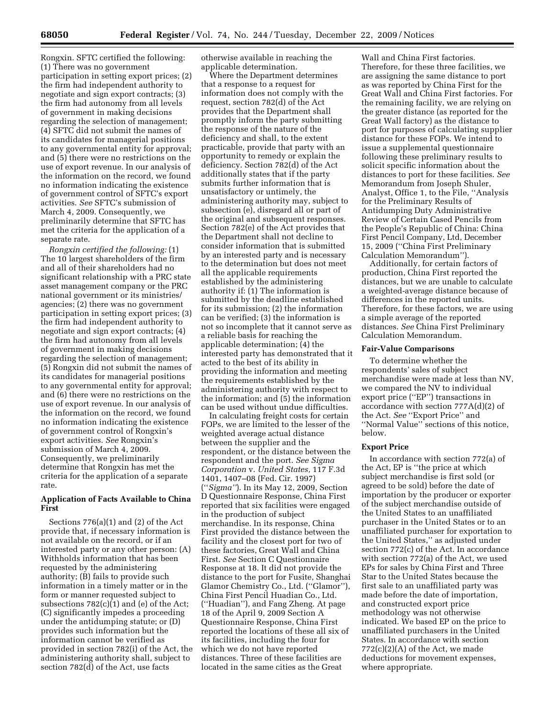Rongxin. SFTC certified the following: (1) There was no government participation in setting export prices; (2) the firm had independent authority to negotiate and sign export contracts; (3) the firm had autonomy from all levels of government in making decisions regarding the selection of management; (4) SFTC did not submit the names of its candidates for managerial positions to any governmental entity for approval; and (5) there were no restrictions on the use of export revenue. In our analysis of the information on the record, we found no information indicating the existence of government control of SFTC's export activities. *See* SFTC's submission of March 4, 2009. Consequently, we preliminarily determine that SFTC has met the criteria for the application of a separate rate.

*Rongxin certified the following:* (1) The 10 largest shareholders of the firm and all of their shareholders had no significant relationship with a PRC state asset management company or the PRC national government or its ministries/ agencies; (2) there was no government participation in setting export prices; (3) the firm had independent authority to negotiate and sign export contracts; (4) the firm had autonomy from all levels of government in making decisions regarding the selection of management; (5) Rongxin did not submit the names of its candidates for managerial positions to any governmental entity for approval; and (6) there were no restrictions on the use of export revenue. In our analysis of the information on the record, we found no information indicating the existence of government control of Rongxin's export activities. *See* Rongxin's submission of March 4, 2009. Consequently, we preliminarily determine that Rongxin has met the criteria for the application of a separate rate.

# **Application of Facts Available to China First**

Sections 776(a)(1) and (2) of the Act provide that, if necessary information is not available on the record, or if an interested party or any other person: (A) Withholds information that has been requested by the administering authority; (B) fails to provide such information in a timely matter or in the form or manner requested subject to subsections  $782(c)(1)$  and (e) of the Act; (C) significantly impedes a proceeding under the antidumping statute; or (D) provides such information but the information cannot be verified as provided in section 782(i) of the Act, the administering authority shall, subject to section 782(d) of the Act, use facts

otherwise available in reaching the applicable determination.

Where the Department determines that a response to a request for information does not comply with the request, section 782(d) of the Act provides that the Department shall promptly inform the party submitting the response of the nature of the deficiency and shall, to the extent practicable, provide that party with an opportunity to remedy or explain the deficiency. Section 782(d) of the Act additionally states that if the party submits further information that is unsatisfactory or untimely, the administering authority may, subject to subsection (e), disregard all or part of the original and subsequent responses. Section 782(e) of the Act provides that the Department shall not decline to consider information that is submitted by an interested party and is necessary to the determination but does not meet all the applicable requirements established by the administering authority if: (1) The information is submitted by the deadline established for its submission; (2) the information can be verified; (3) the information is not so incomplete that it cannot serve as a reliable basis for reaching the applicable determination; (4) the interested party has demonstrated that it acted to the best of its ability in providing the information and meeting the requirements established by the administering authority with respect to the information; and (5) the information can be used without undue difficulties.

In calculating freight costs for certain FOPs, we are limited to the lesser of the weighted average actual distance between the supplier and the respondent, or the distance between the respondent and the port. *See Sigma Corporation* v. *United States,* 117 F.3d 1401, 1407–08 (Fed. Cir. 1997) (''*Sigma''*). In its May 12, 2009, Section D Questionnaire Response, China First reported that six facilities were engaged in the production of subject merchandise. In its response, China First provided the distance between the facility and the closest port for two of these factories, Great Wall and China First. *See* Section C Questionnaire Response at 18. It did not provide the distance to the port for Fusite, Shanghai Glamor Chemistry Co., Ltd. (''Glamor''), China First Pencil Huadian Co., Ltd. (''Huadian''), and Fang Zheng. At page 18 of the April 9, 2009 Section A Questionnaire Response, China First reported the locations of these all six of its facilities, including the four for which we do not have reported distances. Three of these facilities are located in the same cities as the Great

Wall and China First factories. Therefore, for these three facilities, we are assigning the same distance to port as was reported by China First for the Great Wall and China First factories. For the remaining facility, we are relying on the greater distance (as reported for the Great Wall factory) as the distance to port for purposes of calculating supplier distance for these FOPs. We intend to issue a supplemental questionnaire following these preliminary results to solicit specific information about the distances to port for these facilities. *See*  Memorandum from Joseph Shuler, Analyst, Office 1, to the File, ''Analysis for the Preliminary Results of Antidumping Duty Administrative Review of Certain Cased Pencils from the People's Republic of China: China First Pencil Company, Ltd, December 15, 2009 (''China First Preliminary Calculation Memorandum'').

Additionally, for certain factors of production, China First reported the distances, but we are unable to calculate a weighted-average distance because of differences in the reported units. Therefore, for these factors, we are using a simple average of the reported distances. *See* China First Preliminary Calculation Memorandum.

## **Fair-Value Comparisons**

To determine whether the respondents' sales of subject merchandise were made at less than NV, we compared the NV to individual export price (''EP'') transactions in accordance with section 777A(d)(2) of the Act. *See* ''Export Price'' and ''Normal Value'' sections of this notice, below.

## **Export Price**

In accordance with section 772(a) of the Act, EP is ''the price at which subject merchandise is first sold (or agreed to be sold) before the date of importation by the producer or exporter of the subject merchandise outside of the United States to an unaffiliated purchaser in the United States or to an unaffiliated purchaser for exportation to the United States,'' as adjusted under section 772(c) of the Act. In accordance with section 772(a) of the Act, we used EPs for sales by China First and Three Star to the United States because the first sale to an unaffiliated party was made before the date of importation, and constructed export price methodology was not otherwise indicated. We based EP on the price to unaffiliated purchasers in the United States. In accordance with section  $772(c)(2)(A)$  of the Act, we made deductions for movement expenses, where appropriate.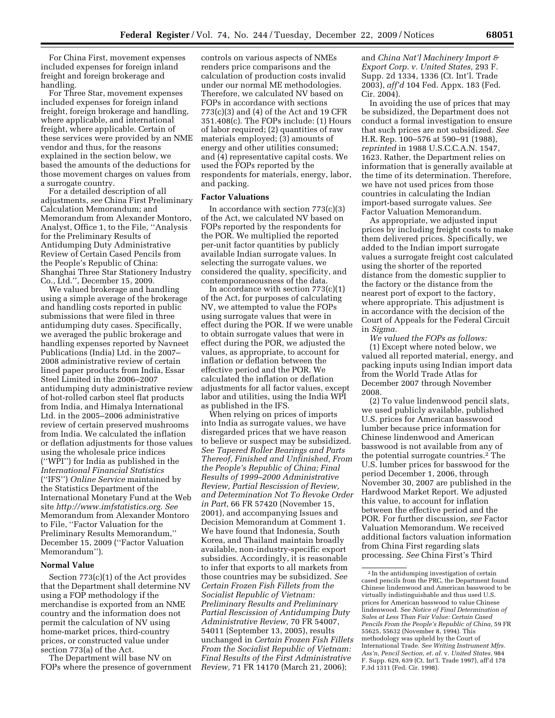For China First, movement expenses included expenses for foreign inland freight and foreign brokerage and handling.

For Three Star, movement expenses included expenses for foreign inland freight, foreign brokerage and handling, where applicable, and international freight, where applicable. Certain of these services were provided by an NME vendor and thus, for the reasons explained in the section below, we based the amounts of the deductions for those movement charges on values from a surrogate country.

For a detailed description of all adjustments, *see* China First Preliminary Calculation Memorandum; and Memorandum from Alexander Montoro, Analyst, Office 1, to the File, ''Analysis for the Preliminary Results of Antidumping Duty Administrative Review of Certain Cased Pencils from the People's Republic of China: Shanghai Three Star Stationery Industry Co., Ltd.'', December 15, 2009.

We valued brokerage and handling using a simple average of the brokerage and handling costs reported in public submissions that were filed in three antidumping duty cases. Specifically, we averaged the public brokerage and handling expenses reported by Navneet Publications (India) Ltd. in the 2007– 2008 administrative review of certain lined paper products from India, Essar Steel Limited in the 2006–2007 antidumping duty administrative review of hot-rolled carbon steel flat products from India, and Himalya International Ltd. in the 2005–2006 administrative review of certain preserved mushrooms from India. We calculated the inflation or deflation adjustments for those values using the wholesale price indices (''WPI'') for India as published in the *International Financial Statistics*  (''IFS'') *Online Service* maintained by the Statistics Department of the International Monetary Fund at the Web site *http://www.imfstatistics.org. See*  Memorandum from Alexander Montoro to File, ''Factor Valuation for the Preliminary Results Memorandum,'' December 15, 2009 (''Factor Valuation Memorandum'').

### **Normal Value**

Section 773(c)(1) of the Act provides that the Department shall determine NV using a FOP methodology if the merchandise is exported from an NME country and the information does not permit the calculation of NV using home-market prices, third-country prices, or constructed value under section 773(a) of the Act.

The Department will base NV on FOPs where the presence of government

controls on various aspects of NMEs renders price comparisons and the calculation of production costs invalid under our normal ME methodologies. Therefore, we calculated NV based on FOPs in accordance with sections 773(c)(3) and (4) of the Act and 19 CFR 351.408(c). The FOPs include: (1) Hours of labor required; (2) quantities of raw materials employed; (3) amounts of energy and other utilities consumed; and (4) representative capital costs. We used the FOPs reported by the respondents for materials, energy, labor, and packing.

#### **Factor Valuations**

In accordance with section  $773(c)(3)$ of the Act, we calculated NV based on FOPs reported by the respondents for the POR. We multiplied the reported per-unit factor quantities by publicly available Indian surrogate values. In selecting the surrogate values, we considered the quality, specificity, and contemporaneousness of the data.

In accordance with section  $773(c)(1)$ of the Act, for purposes of calculating NV, we attempted to value the FOPs using surrogate values that were in effect during the POR. If we were unable to obtain surrogate values that were in effect during the POR, we adjusted the values, as appropriate, to account for inflation or deflation between the effective period and the POR. We calculated the inflation or deflation adjustments for all factor values, except labor and utilities, using the India WPI as published in the IFS.

When relying on prices of imports into India as surrogate values, we have disregarded prices that we have reason to believe or suspect may be subsidized. *See Tapered Roller Bearings and Parts Thereof, Finished and Unfinished, From the People's Republic of China; Final Results of 1999–2000 Administrative Review, Partial Rescission of Review, and Determination Not To Revoke Order in Part,* 66 FR 57420 (November 15, 2001), and accompanying Issues and Decision Memorandum at Comment 1. We have found that Indonesia, South Korea, and Thailand maintain broadly available, non-industry-specific export subsidies. Accordingly, it is reasonable to infer that exports to all markets from those countries may be subsidized. *See Certain Frozen Fish Fillets from the Socialist Republic of Vietnam: Preliminary Results and Preliminary Partial Rescission of Antidumping Duty Administrative Review,* 70 FR 54007, 54011 (September 13, 2005), results unchanged in *Certain Frozen Fish Fillets From the Socialist Republic of Vietnam: Final Results of the First Administrative Review,* 71 FR 14170 (March 21, 2006);

and *China Nat'l Machinery Import & Export Corp. v. United States,* 293 F. Supp. 2d 1334, 1336 (Ct. Int'l. Trade 2003), *aff'd* 104 Fed. Appx. 183 (Fed. Cir. 2004).

In avoiding the use of prices that may be subsidized, the Department does not conduct a formal investigation to ensure that such prices are not subsidized. *See*  H.R. Rep. 100–576 at 590–91 (1988), *reprinted* in 1988 U.S.C.C.A.N. 1547, 1623. Rather, the Department relies on information that is generally available at the time of its determination. Therefore, we have not used prices from those countries in calculating the Indian import-based surrogate values. *See*  Factor Valuation Memorandum.

As appropriate, we adjusted input prices by including freight costs to make them delivered prices. Specifically, we added to the Indian import surrogate values a surrogate freight cost calculated using the shorter of the reported distance from the domestic supplier to the factory or the distance from the nearest port of export to the factory, where appropriate. This adjustment is in accordance with the decision of the Court of Appeals for the Federal Circuit in *Sigma.* 

*We valued the FOPs as follows:*  (1) Except where noted below, we valued all reported material, energy, and packing inputs using Indian import data from the World Trade Atlas for December 2007 through November 2008.

(2) To value lindenwood pencil slats, we used publicly available, published U.S. prices for American basswood lumber because price information for Chinese lindenwood and American basswood is not available from any of the potential surrogate countries.2 The U.S. lumber prices for basswood for the period December 1, 2006, through November 30, 2007 are published in the Hardwood Market Report. We adjusted this value, to account for inflation between the effective period and the POR. For further discussion, *see* Factor Valuation Memorandum. We received additional factors valuation information from China First regarding slats processing. *See* China First's Third

 $^{\rm 2}$  In the antidumping investigation of certain cased pencils from the PRC, the Department found Chinese lindenwood and American basswood to be virtually indistinguishable and thus used U.S. prices for American basswood to value Chinese lindenwood. *See Notice of Final Determination of Sales at Less Than Fair Value: Certain Cased Pencils From the People's Republic of China,* 59 FR 55625, 55632 (November 8, 1994). This methodology was upheld by the Court of International Trade. *See Writing Instrument Mfrs. Ass'n, Pencil Section, et. al.* v. *United States,* 984 F. Supp. 629, 639 (Ct. Int'l. Trade 1997), aff'd 178 F.3d 1311 (Fed. Cir. 1998).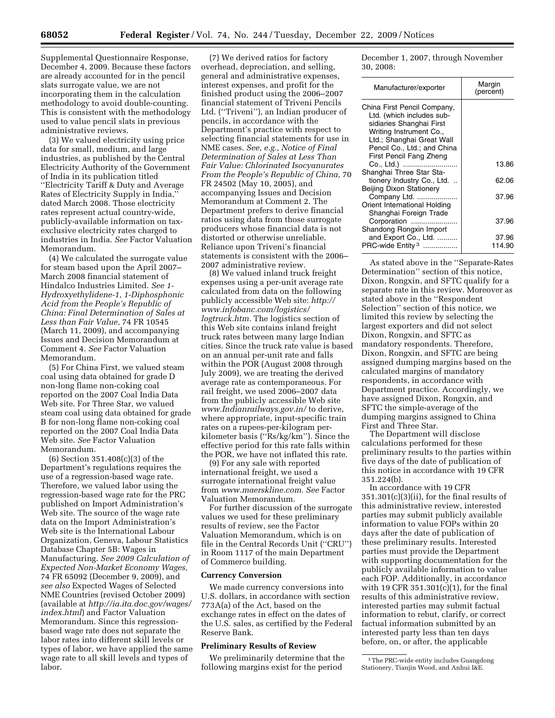Supplemental Questionnaire Response, December 4, 2009. Because these factors are already accounted for in the pencil slats surrogate value, we are not incorporating them in the calculation methodology to avoid double-counting. This is consistent with the methodology used to value pencil slats in previous administrative reviews.

(3) We valued electricity using price data for small, medium, and large industries, as published by the Central Electricity Authority of the Government of India in its publication titled ''Electricity Tariff & Duty and Average Rates of Electricity Supply in India,'' dated March 2008. Those electricity rates represent actual country-wide, publicly-available information on taxexclusive electricity rates charged to industries in India. *See* Factor Valuation Memorandum.

(4) We calculated the surrogate value for steam based upon the April 2007– March 2008 financial statement of Hindalco Industries Limited. *See 1- Hydroxyethylidene-1, 1-Diphosphonic Acid from the People's Republic of China: Final Determination of Sales at Less than Fair Value,* 74 FR 10545 (March 11, 2009), and accompanying Issues and Decision Memorandum at Comment 4. *See* Factor Valuation Memorandum.

(5) For China First, we valued steam coal using data obtained for grade D non-long flame non-coking coal reported on the 2007 Coal India Data Web site. For Three Star, we valued steam coal using data obtained for grade B for non-long flame non-coking coal reported on the 2007 Coal India Data Web site. *See* Factor Valuation Memorandum.

(6) Section 351.408(c)(3) of the Department's regulations requires the use of a regression-based wage rate. Therefore, we valued labor using the regression-based wage rate for the PRC published on Import Administration's Web site. The source of the wage rate data on the Import Administration's Web site is the International Labour Organization, Geneva, Labour Statistics Database Chapter 5B: Wages in Manufacturing. *See 2009 Calculation of Expected Non-Market Economy Wages,*  74 FR 65092 (December 9, 2009), and *see also* Expected Wages of Selected NME Countries (revised October 2009) (available at *http://ia.ita.doc.gov/wages/ index.html*) and Factor Valuation Memorandum. Since this regressionbased wage rate does not separate the labor rates into different skill levels or types of labor, we have applied the same wage rate to all skill levels and types of labor.

(7) We derived ratios for factory overhead, depreciation, and selling, general and administrative expenses, interest expenses, and profit for the finished product using the 2006–2007 financial statement of Triveni Pencils Ltd. (''Triveni''), an Indian producer of pencils, in accordance with the Department's practice with respect to selecting financial statements for use in NME cases. *See, e.g., Notice of Final Determination of Sales at Less Than Fair Value: Chlorinated Isocyanurates From the People's Republic of China,* 70 FR 24502 (May 10, 2005), and accompanying Issues and Decision Memorandum at Comment 2. The Department prefers to derive financial ratios using data from those surrogate producers whose financial data is not distorted or otherwise unreliable. Reliance upon Triveni's financial statements is consistent with the 2006– 2007 administrative review.

(8) We valued inland truck freight expenses using a per-unit average rate calculated from data on the following publicly accessible Web site: *http:// www.infobanc.com/logistics/ logtruck.htm.* The logistics section of this Web site contains inland freight truck rates between many large Indian cities. Since the truck rate value is based on an annual per-unit rate and falls within the POR (August 2008 through July 2009), we are treating the derived average rate as contemporaneous. For rail freight, we used 2006–2007 data from the publicly accessible Web site *www.Indianrailways.gov.in/* to derive, where appropriate, input-specific train rates on a rupees-per-kilogram perkilometer basis (''Rs/kg/km''). Since the effective period for this rate falls within the POR, we have not inflated this rate.

(9) For any sale with reported international freight, we used a surrogate international freight value from *www.maerskline.com*. *See* Factor Valuation Memorandum.

For further discussion of the surrogate values we used for these preliminary results of review, see the Factor Valuation Memorandum, which is on file in the Central Records Unit (''CRU'') in Room 1117 of the main Department of Commerce building.

#### **Currency Conversion**

We made currency conversions into U.S. dollars, in accordance with section 773A(a) of the Act, based on the exchange rates in effect on the dates of the U.S. sales, as certified by the Federal Reserve Bank.

## **Preliminary Results of Review**

We preliminarily determine that the following margins exist for the period

December 1, 2007, through November 30, 2008:

| Manufacturer/exporter                                                                                                                                                       | Margin<br>(percent) |
|-----------------------------------------------------------------------------------------------------------------------------------------------------------------------------|---------------------|
| China First Pencil Company,<br>Ltd. (which includes sub-<br>sidiaries Shanghai First<br>Writing Instrument Co.,<br>Ltd.; Shanghai Great Wall<br>Pencil Co., Ltd.; and China |                     |
| First Pencil Fang Zheng<br>Co., Ltd.)<br>Shanghai Three Star Sta-                                                                                                           | 13.86               |
| tionery Industry Co., Ltd.<br><b>Beijing Dixon Stationery</b>                                                                                                               | 62.06               |
| Company Ltd.<br>Orient International Holding<br>Shanghai Foreign Trade                                                                                                      | 37.96               |
| Corporation<br>Shandong Rongxin Import                                                                                                                                      | 37.96               |
| and Export Co., Ltd.<br>PRC-wide Entity <sup>3</sup>                                                                                                                        | 37.96<br>114.90     |

As stated above in the ''Separate-Rates Determination'' section of this notice, Dixon, Rongxin, and SFTC qualify for a separate rate in this review. Moreover as stated above in the ''Respondent Selection'' section of this notice, we limited this review by selecting the largest exporters and did not select Dixon, Rongxin, and SFTC as mandatory respondents. Therefore, Dixon, Rongxin, and SFTC are being assigned dumping margins based on the calculated margins of mandatory respondents, in accordance with Department practice. Accordingly, we have assigned Dixon, Rongxin, and SFTC the simple-average of the dumping margins assigned to China First and Three Star.

The Department will disclose calculations performed for these preliminary results to the parties within five days of the date of publication of this notice in accordance with 19 CFR 351.224(b).

In accordance with 19 CFR 351.301(c)(3)(ii), for the final results of this administrative review, interested parties may submit publicly available information to value FOPs within 20 days after the date of publication of these preliminary results. Interested parties must provide the Department with supporting documentation for the publicly available information to value each FOP. Additionally, in accordance with 19 CFR 351.301(c)(1), for the final results of this administrative review, interested parties may submit factual information to rebut, clarify, or correct factual information submitted by an interested party less than ten days before, on, or after, the applicable

<sup>3</sup>The PRC-wide entity includes Guangdong Stationery, Tianjin Wood, and Anhui I&E.